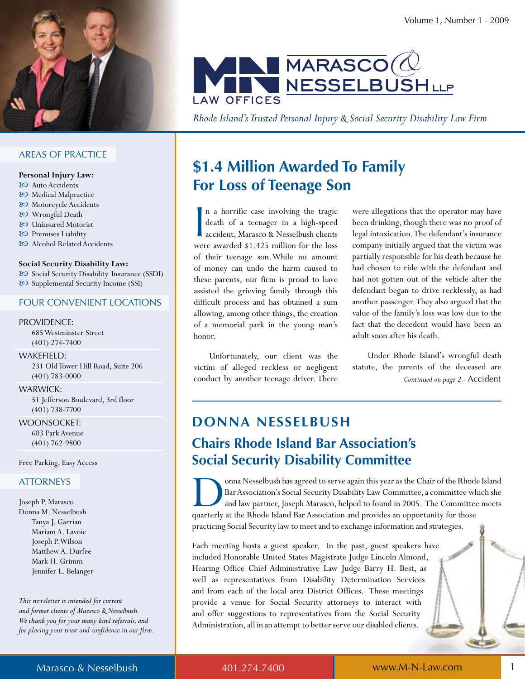

# **AREAS OF PRACTICE**

#### Personal Injury Law:

- & Auto Accidents
- & Medical Malpractice
- & Motorcycle Accidents
- 80 Wrongful Death
- & Uninsured Motorist
- & Premises Liability
- & Alcohol Related Accidents

### Social Security Disability Law:

& Social Security Disability Insurance (SSDI) & Supplemental Security Income (SSI)

### **FOUR CONVENIENT LOCATIONS**

### PROVIDENCE:

685 Westminster Street  $(401)$  274-7400

WAKEFIELD: 231 Old Tower Hill Road, Suite 206  $(401) 783 - 0000$ 

### **WARWICK:**

51 Jefferson Boulevard, 3rd floor  $(401) 738 - 7700$ 

**WOONSOCKET:** 603 Park Avenue  $(401) 762 - 9800$ 

Free Parking, Easy Access

# **ATTORNEYS**

Joseph P. Marasco Donna M. Nesselbush Tanya J. Garrian Mariam A. Lavoie Joseph P. Wilson Matthew A. Durfee Mark H. Grimm Jennifer L. Belanger

This newsletter is intended for current and former clients of Marasco & Nesselbush. We thank you for your many kind referrals, and for placing your trust and confidence in our firm.



Rhode Island's Trusted Personal Injury & Social Security Disability Law Firm

# \$1.4 Million Awarded To Family **For Loss of Teenage Son**

n a horrific case involving the tragic death of a teenager in a high-speed accident, Marasco & Nesselbush clients were awarded \$1.425 million for the loss of their teenage son. While no amount of money can undo the harm caused to these parents, our firm is proud to have assisted the grieving family through this difficult process and has obtained a sum allowing, among other things, the creation of a memorial park in the young man's honor.

Unfortunately, our client was the victim of alleged reckless or negligent conduct by another teenage driver. There were allegations that the operator may have been drinking, though there was no proof of legal intoxication. The defendant's insurance company initially argued that the victim was partially responsible for his death because he had chosen to ride with the defendant and had not gotten out of the vehicle after the defendant began to drive recklessly, as had another passenger. They also argued that the value of the family's loss was low due to the fact that the decedent would have been an adult soon after his death.

Under Rhode Island's wrongful death statute, the parents of the deceased are Continued on page 2 - Accident

# **DONNA NESSELBUSH Chairs Rhode Island Bar Association's Social Security Disability Committee**

onna Nesselbush has agreed to serve again this year as the Chair of the Rhode Island Bar Association's Social Security Disability Law Committee, a committee which she and law partner, Joseph Marasco, helped to found in 2005. The Committee meets quarterly at the Rhode Island Bar Association and provides an opportunity for those practicing Social Security law to meet and to exchange information and strategies.

Each meeting hosts a guest speaker. In the past, guest speakers have included Honorable United States Magistrate Judge Lincoln Almond, Hearing Office Chief Administrative Law Judge Barry H. Best, as well as representatives from Disability Determination Services and from each of the local area District Offices. These meetings provide a venue for Social Security attorneys to interact with and offer suggestions to representatives from the Social Security Administration, all in an attempt to better serve our disabled clients.

Marasco & Nesselbush

401.274.7400

www.M-N-Law.com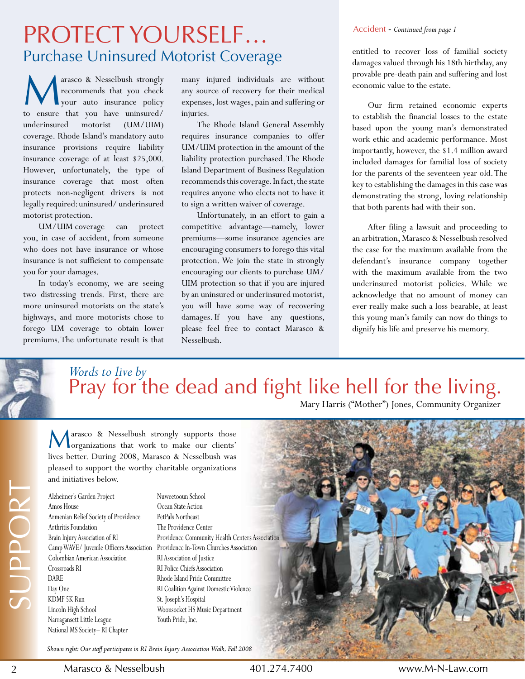# Protect yourself… Purchase Uninsured Motorist Coverage

M arasco & Nesselbush strongly recommends that you check your auto insurance policy to ensure that you have uninsured/ underinsured motorist (UM/UIM) coverage. Rhode Island's mandatory auto insurance provisions require liability insurance coverage of at least \$25,000. However, unfortunately, the type of insurance coverage that most often protects non-negligent drivers is not legally required: uninsured/ underinsured motorist protection.

 UM/UIM coverage can protect you, in case of accident, from someone who does not have insurance or whose insurance is not sufficient to compensate you for your damages.

In today's economy, we are seeing two distressing trends. First, there are more uninsured motorists on the state's highways, and more motorists chose to forego UM coverage to obtain lower premiums. The unfortunate result is that many injured individuals are without any source of recovery for their medical expenses, lost wages, pain and suffering or injuries.

The Rhode Island General Assembly requires insurance companies to offer UM/UIM protection in the amount of the liability protection purchased. The Rhode Island Department of Business Regulation recommends this coverage. In fact, the state requires anyone who elects not to have it to sign a written waiver of coverage.

Unfortunately, in an effort to gain a competitive advantage—namely, lower premiums—some insurance agencies are encouraging consumers to forego this vital protection. We join the state in strongly encouraging our clients to purchase UM/ UIM protection so that if you are injured by an uninsured or underinsured motorist, you will have some way of recovering damages. If you have any questions, please feel free to contact Marasco & Nesselbush.

### Accident - *Continued from page 1*

entitled to recover loss of familial society damages valued through his 18th birthday, any provable pre-death pain and suffering and lost economic value to the estate.

 Our firm retained economic experts to establish the financial losses to the estate based upon the young man's demonstrated work ethic and academic performance. Most importantly, however, the \$1.4 million award included damages for familial loss of society for the parents of the seventeen year old. The key to establishing the damages in this case was demonstrating the strong, loving relationship that both parents had with their son.

After filing a lawsuit and proceeding to an arbitration, Marasco & Nesselbush resolved the case for the maximum available from the defendant's insurance company together with the maximum available from the two underinsured motorist policies. While we acknowledge that no amount of money can ever really make such a loss bearable, at least this young man's family can now do things to dignify his life and preserve his memory.

# Pray for the dead and fight like hell for the living. Mary Harris ("Mother") Jones, Community Organizer *Words to live by*

Marasco & Nesselbush strongly supports those<br>
organizations that work to make our clients' lives better. During 2008, Marasco & Nesselbush was pleased to support the worthy charitable organizations and initiatives below.

Alzheimer's Garden Project Amos House Armenian Relief Society of Providence Arthritis Foundation Brain Injury Association of RI Colombian American Association Crossroads RI DARE Day One KDMF 5K Run Lincoln High School Narragansett Little League National MS Society-RI Chapter

Camp WAVE/ Juvenile Officers Association Providence In-Town Churches Association Nuweetooun School Ocean State Action PetPals Northeast The Providence Center Providence Community Health Centers Association RI Association of Justice RI Police Chiefs Association Rhode Island Pride Committee RI Coalition Against Domestic Violence St. Joseph's Hospital Woonsocket HS Music Department Youth Pride, Inc.

Shown right: Our staff participates in RI Brain Injury Association Walk, Fall 2008

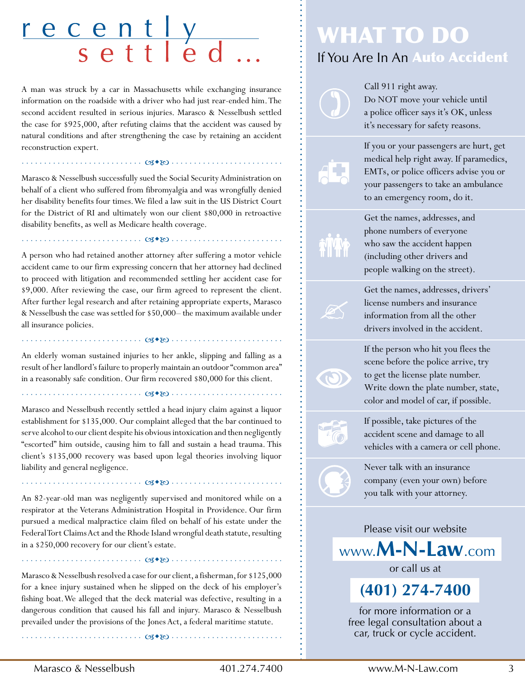# recently<br>settled

A man was struck by a car in Massachusetts while exchanging insurance information on the roadside with a driver who had just rear-ended him. The second accident resulted in serious injuries. Marasco & Nesselbush settled the case for \$925,000, after refuting claims that the accident was caused by natural conditions and after strengthening the case by retaining an accident reconstruction expert.

Marasco & Nesselbush successfully sued the Social Security Administration on behalf of a client who suffered from fibromyalgia and was wrongfully denied her disability benefits four times. We filed a law suit in the US District Court for the District of RI and ultimately won our client \$80,000 in retroactive disability benefits, as well as Medicare health coverage.

. . . . . . . . . . . . . . . . . . . . . . . . . . . ñwó . . . . . . . . . . . . . . . . . . . . . . . . . 

. . . . . . . . . . . . . . . . . . . . . . . . . . . ñwó . . . . . . . . . . . . . . . . . . . . . . . . . 

A person who had retained another attorney after suffering a motor vehicle accident came to our firm expressing concern that her attorney had declined to proceed with litigation and recommended settling her accident case for \$9,000. After reviewing the case, our firm agreed to represent the client. After further legal research and after retaining appropriate experts, Marasco & Nesselbush the case was settled for \$50,000– the maximum available under all insurance policies.

An elderly woman sustained injuries to her ankle, slipping and falling as a result of her landlord's failure to properly maintain an outdoor "common area" in a reasonably safe condition. Our firm recovered \$80,000 for this client.

 $\cdots \cdots \cdots \cdots \cdots$   $\cdots$   $\cdots$   $\cdots$ 

. . . . . . . . . . . . . . . . . . . . . . . . . . . ñwó . . . . . . . . . . . . . . . . . . . . . . . . . 

. . . . . . . . . . . . . . . . . . . . . . . . . . . ñwó . . . . . . . . . . . . . . . . . . . . . . . . . 

Marasco and Nesselbush recently settled a head injury claim against a liquor establishment for \$135,000. Our complaint alleged that the bar continued to serve alcohol to our client despite his obvious intoxication and then negligently "escorted" him outside, causing him to fall and sustain a head trauma. This client's \$135,000 recovery was based upon legal theories involving liquor liability and general negligence.

An 82-year-old man was negligently supervised and monitored while on a respirator at the Veterans Administration Hospital in Providence. Our firm pursued a medical malpractice claim filed on behalf of his estate under the Federal Tort Claims Act and the Rhode Island wrongful death statute, resulting in a \$250,000 recovery for our client's estate.

Marasco & Nesselbush resolved a case for our client, a fisherman, for \$125,000 for a knee injury sustained when he slipped on the deck of his employer's fishing boat. We alleged that the deck material was defective, resulting in a dangerous condition that caused his fall and injury. Marasco & Nesselbush prevailed under the provisions of the Jones Act, a federal maritime statute.

. . . . . . . . . . . . . . . . . . . . . . . . . . . ñwó . . . . . . . . . . . . . . . . . . . . . . . . . 

. . . . . . . . . . . . . . . . . . . . . . . . . . . ñwó . . . . . . . . . . . . . . . . . . . . . . . . . 

# WHAT TO DO If You Are In An Auto Accident

Call 911 right away. Do NOT move your vehicle until a police officer says it's OK, unless it's necessary for safety reasons.

If you or your passengers are hurt, get medical help right away. If paramedics, EMTs, or police officers advise you or your passengers to take an ambulance to an emergency room, do it.

Get the names, addresses, and phone numbers of everyone who saw the accident happen (including other drivers and people walking on the street).

Get the names, addresses, drivers' license numbers and insurance information from all the other drivers involved in the accident.

If the person who hit you flees the scene before the police arrive, try to get the license plate number. Write down the plate number, state, color and model of car, if possible.



If possible, take pictures of the accident scene and damage to all vehicles with a camera or cell phone.

Never talk with an insurance company (even your own) before you talk with your attorney.

Please visit our website www.**M-n-law**.com

or call us at

**(401) 274-7400** 

for more information or a free legal consultation about a car, truck or cycle accident.